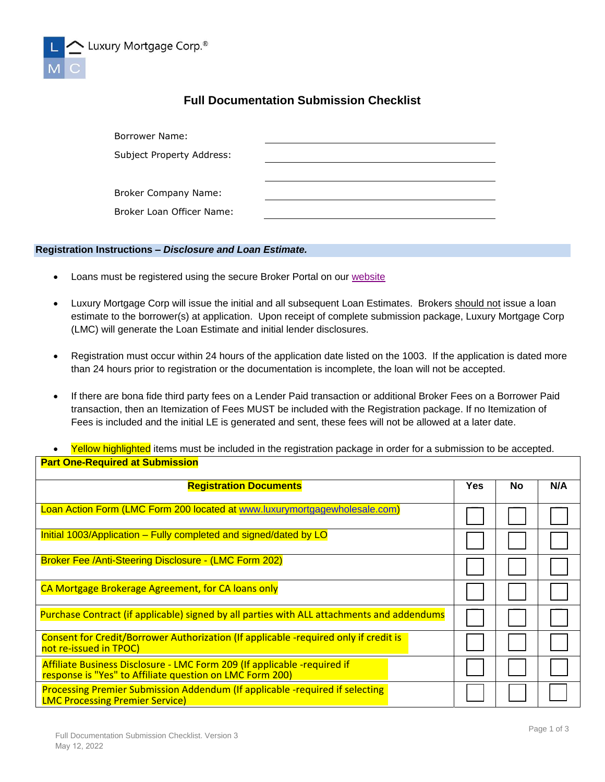

## **Full Documentation Submission Checklist**

| <b>Borrower Name:</b>     |  |
|---------------------------|--|
| Subject Property Address: |  |
|                           |  |
| Broker Company Name:      |  |
| Broker Loan Officer Name: |  |

## **Registration Instructions –** *Disclosure and Loan Estimate.*

- Loans must be registered using the secure Broker Portal on our [website](http://www.luxurymortgagewholesale.com/)
- Luxury Mortgage Corp will issue the initial and all subsequent Loan Estimates. Brokers should not issue a loan estimate to the borrower(s) at application. Upon receipt of complete submission package, Luxury Mortgage Corp (LMC) will generate the Loan Estimate and initial lender disclosures.
- Registration must occur within 24 hours of the application date listed on the 1003. If the application is dated more than 24 hours prior to registration or the documentation is incomplete, the loan will not be accepted.
- If there are bona fide third party fees on a Lender Paid transaction or additional Broker Fees on a Borrower Paid transaction, then an Itemization of Fees MUST be included with the Registration package. If no Itemization of Fees is included and the initial LE is generated and sent, these fees will not be allowed at a later date.
- Yellow highlighted items must be included in the registration package in order for a submission to be accepted. **Part One-Required at Submission**

| <b>Registration Documents</b>                                                                                                        |  | No | N/A |
|--------------------------------------------------------------------------------------------------------------------------------------|--|----|-----|
| Loan Action Form (LMC Form 200 located at www.luxurymortgagewholesale.com)                                                           |  |    |     |
| Initial 1003/Application – Fully completed and signed/dated by LO                                                                    |  |    |     |
| <b>Broker Fee /Anti-Steering Disclosure - (LMC Form 202)</b>                                                                         |  |    |     |
| CA Mortgage Brokerage Agreement, for CA loans only                                                                                   |  |    |     |
| Purchase Contract (if applicable) signed by all parties with ALL attachments and addendums                                           |  |    |     |
| Consent for Credit/Borrower Authorization (If applicable -required only if credit is<br>not re-issued in TPOC)                       |  |    |     |
| Affiliate Business Disclosure - LMC Form 209 (If applicable -required if<br>response is "Yes" to Affiliate question on LMC Form 200) |  |    |     |
| Processing Premier Submission Addendum (If applicable -required if selecting<br><b>LMC Processing Premier Service)</b>               |  |    |     |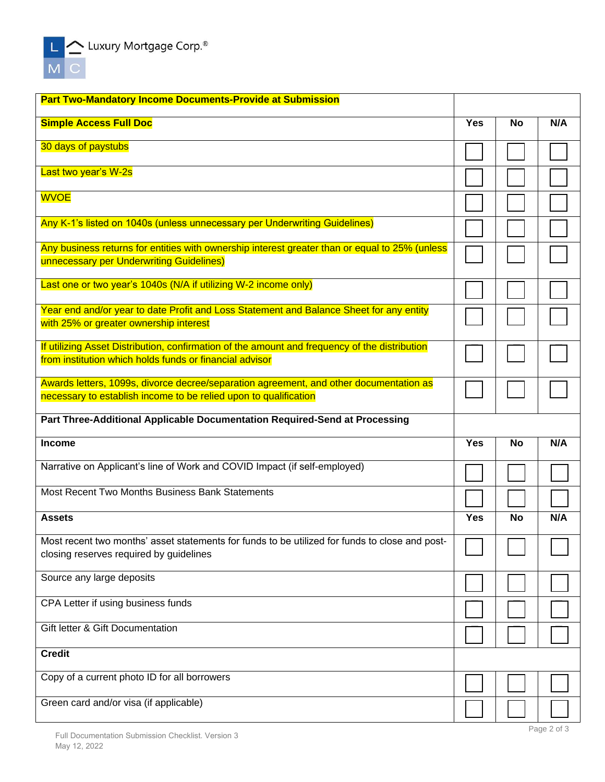

| <b>Part Two-Mandatory Income Documents-Provide at Submission</b>                                                                                           |            |           |     |
|------------------------------------------------------------------------------------------------------------------------------------------------------------|------------|-----------|-----|
| <b>Simple Access Full Doc</b>                                                                                                                              | <b>Yes</b> | <b>No</b> | N/A |
| 30 days of paystubs                                                                                                                                        |            |           |     |
| Last two year's W-2s                                                                                                                                       |            |           |     |
| <b>WVOE</b>                                                                                                                                                |            |           |     |
| Any K-1's listed on 1040s (unless unnecessary per Underwriting Guidelines)                                                                                 |            |           |     |
| Any business returns for entities with ownership interest greater than or equal to 25% (unless<br>unnecessary per Underwriting Guidelines)                 |            |           |     |
| Last one or two year's 1040s (N/A if utilizing W-2 income only)                                                                                            |            |           |     |
| Year end and/or year to date Profit and Loss Statement and Balance Sheet for any entity<br>with 25% or greater ownership interest                          |            |           |     |
| If utilizing Asset Distribution, confirmation of the amount and frequency of the distribution<br>from institution which holds funds or financial advisor   |            |           |     |
| Awards letters, 1099s, divorce decree/separation agreement, and other documentation as<br>necessary to establish income to be relied upon to qualification |            |           |     |
| Part Three-Additional Applicable Documentation Required-Send at Processing                                                                                 |            |           |     |
|                                                                                                                                                            |            |           |     |
| <b>Income</b>                                                                                                                                              | <b>Yes</b> | <b>No</b> | N/A |
| Narrative on Applicant's line of Work and COVID Impact (if self-employed)                                                                                  |            |           |     |
| <b>Most Recent Two Months Business Bank Statements</b>                                                                                                     |            |           |     |
| <b>Assets</b>                                                                                                                                              | <b>Yes</b> | <b>No</b> | N/A |
| Most recent two months' asset statements for funds to be utilized for funds to close and post-<br>closing reserves required by guidelines                  |            |           |     |
| Source any large deposits                                                                                                                                  |            |           |     |
| CPA Letter if using business funds                                                                                                                         |            |           |     |
| <b>Gift letter &amp; Gift Documentation</b>                                                                                                                |            |           |     |
| <b>Credit</b>                                                                                                                                              |            |           |     |
| Copy of a current photo ID for all borrowers                                                                                                               |            |           |     |